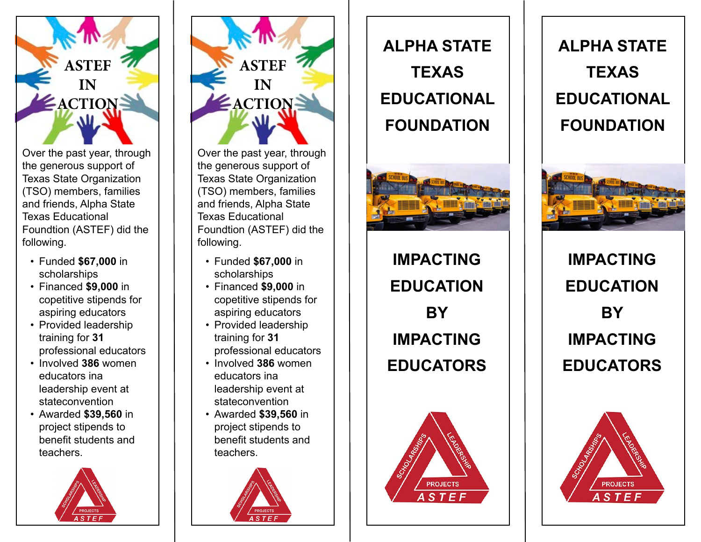

Over the past year, through the generous support of Texas State Organization (TSO) members, families and friends, Alpha State Texas Educational Foundtion (ASTEF) did the following.

- Funded **\$67,000** in scholarships
- Financed **\$9,000** in copetitive stipends for aspiring educators
- Provided leadership training for **31** professional educators
- Involved **386** women educators ina leadership event at stateconvention
- Awarded **\$39,560** in project stipends to benefit students and teachers.





Over the past year, through the generous support of Texas State Organization (TSO) members, families and friends, Alpha State Texas Educational Foundtion (ASTEF) did the following.

- Funded **\$67,000** in scholarships
- Financed **\$9,000** in copetitive stipends for aspiring educators
- Provided leadership training for **31** professional educators
- Involved **386** women educators ina leadership event at stateconvention
- Awarded **\$39,560** in project stipends to benefit students and teachers.



**ALPHA STATE TEXAS EDUCATIONAL FOUNDATION**



**IMPACTING EDUCATION BY IMPACTING EDUCATORS**



**ALPHA STATE TEXAS EDUCATIONAL FOUNDATION**



**IMPACTING EDUCATION BY IMPACTING EDUCATORS**